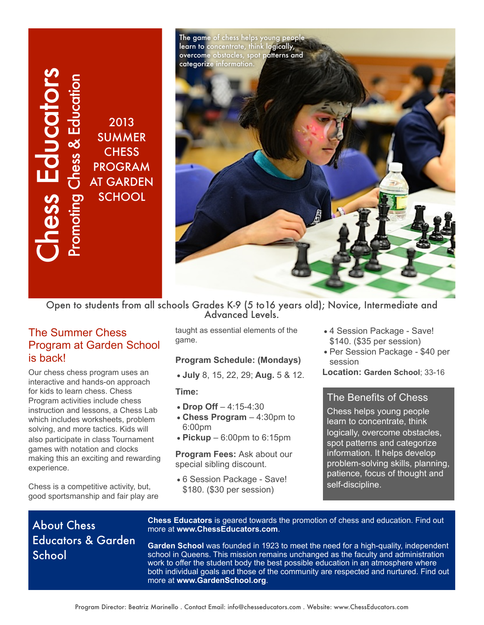**SS** Educators Promoting Chess & Education 2013 **SUMMER CHESS** PROGRAM AT GARDEN pmoting **SCHOOL** 



Open to students from all schools Grades K-9 (5 to16 years old); Novice, Intermediate and Advanced Levels.

### The Summer Chess Program at Garden School is back!

School<br>The Sure of School Chess back!<br>Dur chess back!<br>Dur chess back!<br>Dur chess back!<br>Nour chess is a struction<br>Iso partici ames with a sking this<br>verience<br>Chess is a cod sport<br>ducat School Our chess chess program uses an interactive and hands-on approach for kids to learn chess. Chess Program activities include chess instruction and lessons, a Chess Lab which includes worksheets, problem solving, and more tactics. Kids will also participate in class Tournament games with notation and clocks making this an exciting and rewarding experience.

Chess is a competitive activity, but, good sportsmanship and fair play are taught as essential elements of the game.

### **Program Schedule: (Mondays)**

•**July** 8, 15, 22, 29; **Aug.** 5 & 12.

**Time:** 

- •**Drop Off** 4:15-4:30
- •**Chess Program** 4:30pm to 6:00pm
- •**Pickup** 6:00pm to 6:15pm

**Program Fees:** Ask about our special sibling discount.

•6 Session Package - Save! \$180. (\$30 per session)

- •4 Session Package Save! \$140. (\$35 per session)
- •Per Session Package \$40 per session
- **Location: Garden School**; 33-16

### The Benefits of Chess

Chess helps young people learn to concentrate, think logically, overcome obstacles, spot patterns and categorize information. It helps develop problem-solving skills, planning, patience, focus of thought and self-discipline.

# About Chess Educators & Garden School

**Chess Educators** is geared towards the promotion of chess and education. Find out more at **www.ChessEducators.com**.

**Garden School** was founded in 1923 to meet the need for a high-quality, independent school in Queens. This mission remains unchanged as the faculty and administration work to offer the student body the best possible education in an atmosphere where both individual goals and those of the community are respected and nurtured. Find out more at **www.GardenSchool.org**.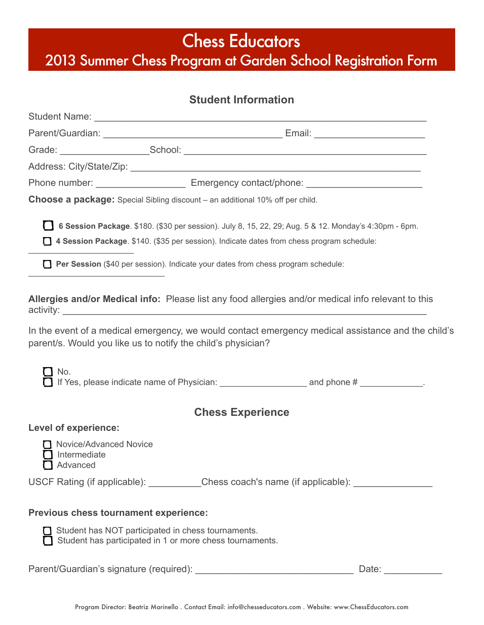# Chess Educators

2013 Summer Chess Program at Garden School Registration Form

## **Student Information**

| Phone number: __________________________________ Emergency contact/phone: __________________________                                                               |  |
|--------------------------------------------------------------------------------------------------------------------------------------------------------------------|--|
| Choose a package: Special Sibling discount - an additional 10% off per child.                                                                                      |  |
| 6 Session Package. \$180. (\$30 per session). July 8, 15, 22, 29; Aug. 5 & 12. Monday's 4:30pm - 6pm.                                                              |  |
| 14 Session Package. \$140. (\$35 per session). Indicate dates from chess program schedule:                                                                         |  |
| Per Session (\$40 per session). Indicate your dates from chess program schedule:<br>$\Gamma$                                                                       |  |
| Allergies and/or Medical info: Please list any food allergies and/or medical info relevant to this                                                                 |  |
| In the event of a medical emergency, we would contact emergency medical assistance and the child's<br>parent/s. Would you like us to notify the child's physician? |  |
| No.                                                                                                                                                                |  |
| <b>Chess Experience</b>                                                                                                                                            |  |
| <b>Level of experience:</b>                                                                                                                                        |  |
| Novice/Advanced Novice<br>Intermediate<br>Advanced                                                                                                                 |  |
| USCF Rating (if applicable): __________Chess coach's name (if applicable): ____________                                                                            |  |
| Previous chess tournament experience:                                                                                                                              |  |
| Student has NOT participated in chess tournaments.<br>Student has participated in 1 or more chess tournaments.                                                     |  |
|                                                                                                                                                                    |  |